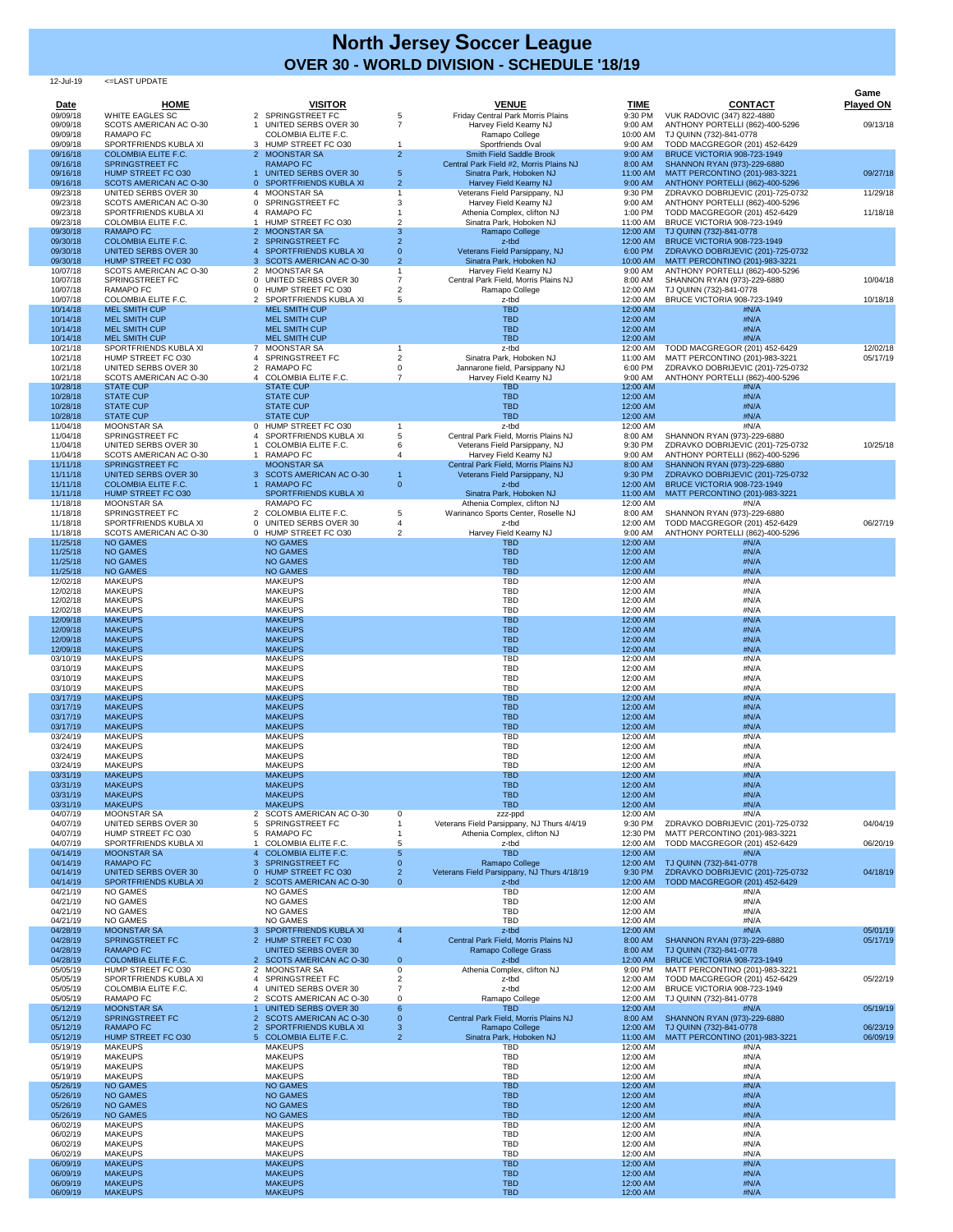## 12-Jul-19 <=LAST UPDATE

|                         |                                                     |                                                 |                          |                                                                     |                        |                                                                        | Game                 |
|-------------------------|-----------------------------------------------------|-------------------------------------------------|--------------------------|---------------------------------------------------------------------|------------------------|------------------------------------------------------------------------|----------------------|
| <b>Date</b><br>09/09/18 | <b>HOME</b><br><b>WHITE EAGLES SC</b>               | <b>VISITOR</b><br>2 SPRINGSTREET FC             | 5                        | <b>VENUE</b><br>Friday Central Park Morris Plains                   | <b>TIME</b><br>9:30 PM | <b>CONTACT</b><br><b>VUK RADOVIC (347) 822-4880</b>                    | <b>Played ON</b>     |
| 09/09/18                | SCOTS AMERICAN AC O-30                              | <b>UNITED SERBS OVER 30</b>                     | $\overline{7}$           | Harvey Field Kearny NJ                                              | 9:00 AM                | ANTHONY PORTELLI (862)-400-5296                                        | 09/13/18             |
| 09/09/18                | <b>RAMAPO FC</b>                                    | <b>COLOMBIA ELITE F.C.</b>                      |                          | Ramapo College                                                      | 10:00 AM               | TJ QUINN (732)-841-0778                                                |                      |
| 09/09/18                | SPORTFRIENDS KUBLA XI                               | 3 HUMP STREET FC O30                            |                          | Sportfriends Oval                                                   | 9:00 AM                | TODD MACGREGOR (201) 452-6429                                          |                      |
| 09/16/18                | <b>COLOMBIA ELITE F.C.</b>                          | 2 MOONSTAR SA                                   | 2 <sup>1</sup>           | <b>Smith Field Saddle Brook</b>                                     | 9:00 AM                | <b>BRUCE VICTORIA 908-723-1949</b>                                     |                      |
| 09/16/18<br>09/16/18    | <b>SPRINGSTREET FC</b><br>HUMP STREET FC O30        | <b>RAMAPO FC</b><br><b>UNITED SERBS OVER 30</b> | 5                        | Central Park Field #2, Morris Plains NJ<br>Sinatra Park, Hoboken NJ | 8:00 AM<br>11:00 AM    | SHANNON RYAN (973)-229-6880<br>MATT PERCONTINO (201)-983-3221          | 09/27/18             |
| 09/16/18                | <b>SCOTS AMERICAN AC O-30</b>                       | 0 SPORTFRIENDS KUBLA XI                         | 2 <sup>1</sup>           | Harvey Field Kearny NJ                                              | 9:00 AM                | ANTHONY PORTELLI (862)-400-5296                                        |                      |
| 09/23/18                | <b>UNITED SERBS OVER 30</b>                         | 4 MOONSTAR SA                                   |                          | Veterans Field Parsippany, NJ                                       | 9:30 PM                | ZDRAVKO DOBRIJEVIC (201)-725-0732                                      | 11/29/18             |
| 09/23/18                | SCOTS AMERICAN AC O-30                              | 0 SPRINGSTREET FC                               |                          | Harvey Field Kearny NJ                                              | 9:00 AM                | ANTHONY PORTELLI (862)-400-5296                                        |                      |
| 09/23/18<br>09/23/18    | SPORTFRIENDS KUBLA XI<br><b>COLOMBIA ELITE F.C.</b> | 4 RAMAPO FC<br>HUMP STREET FC O30               | 2                        | Athenia Complex, clifton NJ<br>Sinatra Park, Hoboken NJ             | 1:00 PM<br>11:00 AM    | TODD MACGREGOR (201) 452-6429<br><b>BRUCE VICTORIA 908-723-1949</b>    | 11/18/18             |
| 09/30/18                | <b>RAMAPO FC</b>                                    | 2 MOONSTAR SA                                   | 3                        | Ramapo College                                                      | 12:00 AM               | TJ QUINN (732)-841-0778                                                |                      |
| 09/30/18                | <b>COLOMBIA ELITE F.C.</b>                          | 2 SPRINGSTREET FC                               | $\overline{2}$           | z-tbd                                                               | 12:00 AM               | <b>BRUCE VICTORIA 908-723-1949</b>                                     |                      |
| 09/30/18                | <b>UNITED SERBS OVER 30</b>                         | SPORTFRIENDS KUBLA XI                           | $\Omega$                 | Veterans Field Parsippany, NJ                                       | 6:00 PM                | ZDRAVKO DOBRIJEVIC (201)-725-0732                                      |                      |
| 09/30/18                | HUMP STREET FC O30                                  | 3 SCOTS AMERICAN AC O-30                        | $\overline{2}$           | Sinatra Park, Hoboken NJ                                            | 10:00 AM               | MATT PERCONTINO (201)-983-3221                                         |                      |
| 10/07/18                | SCOTS AMERICAN AC O-30                              | 2 MOONSTAR SA                                   |                          | Harvey Field Kearny NJ                                              | 9:00 AM                | ANTHONY PORTELLI (862)-400-5296                                        |                      |
| 10/07/18                | SPRINGSTREET FC<br><b>RAMAPO FC</b>                 | 0 UNITED SERBS OVER 30<br>0 HUMP STREET FC O30  |                          | Central Park Field, Morris Plains NJ                                | 8:00 AM                | SHANNON RYAN (973)-229-6880                                            | 10/04/18             |
| 10/07/18<br>10/07/18    | <b>COLOMBIA ELITE F.C.</b>                          | 2 SPORTFRIENDS KUBLA XI                         | 5                        | Ramapo College<br>z-tbd                                             | 12:00 AM<br>12:00 AM   | TJ QUINN (732)-841-0778<br>BRUCE VICTORIA 908-723-1949                 | 10/18/18             |
| 10/14/18                | <b>MEL SMITH CUP</b>                                | <b>MEL SMITH CUP</b>                            |                          | <b>TBD</b>                                                          | 12:00 AM               | #N/A                                                                   |                      |
| 10/14/18                | <b>MEL SMITH CUP</b>                                | <b>MEL SMITH CUP</b>                            |                          | <b>TBD</b>                                                          | 12:00 AM               | #N/A                                                                   |                      |
| 10/14/18                | <b>MEL SMITH CUP</b>                                | <b>MEL SMITH CUP</b>                            |                          | <b>TBD</b>                                                          | 12:00 AM               | #N/A                                                                   |                      |
| 10/14/18                | <b>MEL SMITH CUP</b>                                | <b>MEL SMITH CUP</b>                            |                          | <b>TBD</b>                                                          | 12:00 AM               | #N/A                                                                   |                      |
| 10/21/18<br>10/21/18    | SPORTFRIENDS KUBLA XI<br>HUMP STREET FC O30         | 7 MOONSTAR SA<br>4 SPRINGSTREET FC              | 2                        | z-tbd<br>Sinatra Park, Hoboken NJ                                   | 12:00 AM<br>11:00 AM   | <b>TODD MACGREGOR (201) 452-6429</b><br>MATT PERCONTINO (201)-983-3221 | 12/02/18<br>05/17/19 |
| 10/21/18                | <b>UNITED SERBS OVER 30</b>                         | 2 RAMAPO FC                                     |                          | Jannarone field, Parsippany NJ                                      | 6:00 PM                | ZDRAVKO DOBRIJEVIC (201)-725-0732                                      |                      |
| 10/21/18                | SCOTS AMERICAN AC O-30                              | 4 COLOMBIA ELITE F.C.                           |                          | Harvey Field Kearny NJ                                              | 9:00 AM                | ANTHONY PORTELLI (862)-400-5296                                        |                      |
| 10/28/18                | <b>STATE CUP</b>                                    | <b>STATE CUP</b>                                |                          | <b>TBD</b>                                                          | 12:00 AM               | #N/A                                                                   |                      |
| 10/28/18                | <b>STATE CUP</b>                                    | <b>STATE CUP</b>                                |                          | <b>TBD</b>                                                          | 12:00 AM               | #N/A                                                                   |                      |
| 10/28/18                | <b>STATE CUP</b>                                    | <b>STATE CUP</b>                                |                          | <b>TBD</b>                                                          | 12:00 AM               | #N/A                                                                   |                      |
| 10/28/18<br>11/04/18    | <b>STATE CUP</b><br><b>MOONSTAR SA</b>              | <b>STATE CUP</b><br>0 HUMP STREET FC O30        |                          | <b>TBD</b><br>z-tbd                                                 | 12:00 AM<br>12:00 AM   | #N/A<br>#N/A                                                           |                      |
| 11/04/18                | SPRINGSTREET FC                                     | 4 SPORTFRIENDS KUBLA XI                         |                          | Central Park Field, Morris Plains NJ                                | 8:00 AM                | SHANNON RYAN (973)-229-6880                                            |                      |
| 11/04/18                | <b>UNITED SERBS OVER 30</b>                         | COLOMBIA ELITE F.C.                             |                          | Veterans Field Parsippany, NJ                                       | 9:30 PM                | ZDRAVKO DOBRIJEVIC (201)-725-0732                                      | 10/25/18             |
| 11/04/18                | SCOTS AMERICAN AC O-30                              | <b>RAMAPO FC</b>                                |                          | Harvey Field Kearny NJ                                              | 9:00 AM                | ANTHONY PORTELLI (862)-400-5296                                        |                      |
| 11/11/18                | <b>SPRINGSTREET FC</b>                              | <b>MOONSTAR SA</b>                              |                          | Central Park Field, Morris Plains NJ                                | 8:00 AM                | SHANNON RYAN (973)-229-6880                                            |                      |
| 11/11/18                | <b>UNITED SERBS OVER 30</b>                         | 3 SCOTS AMERICAN AC O-30                        |                          | Veterans Field Parsippany, NJ                                       | 9:30 PM                | ZDRAVKO DOBRIJEVIC (201)-725-0732                                      |                      |
| 11/11/18                | <b>COLOMBIA ELITE F.C.</b>                          | <b>RAMAPO FC</b>                                | $\overline{0}$           | z-tbd                                                               | 12:00 AM               | <b>BRUCE VICTORIA 908-723-1949</b>                                     |                      |
| 11/11/18<br>11/18/18    | HUMP STREET FC O30<br><b>MOONSTAR SA</b>            | SPORTFRIENDS KUBLA XI<br><b>RAMAPO FC</b>       |                          | Sinatra Park, Hoboken NJ<br>Athenia Complex, clifton NJ             | 11:00 AM<br>12:00 AM   | MATT PERCONTINO (201)-983-3221<br>#N/A                                 |                      |
| 11/18/18                | SPRINGSTREET FC                                     | 2 COLOMBIA ELITE F.C.                           | 5                        | Warinanco Sports Center, Roselle NJ                                 | 8:00 AM                | SHANNON RYAN (973)-229-6880                                            |                      |
| 11/18/18                | SPORTFRIENDS KUBLA XI                               | 0 UNITED SERBS OVER 30                          |                          | z-tbd                                                               | 12:00 AM               | TODD MACGREGOR (201) 452-6429                                          | 06/27/19             |
| 11/18/18                | SCOTS AMERICAN AC O-30                              | 0 HUMP STREET FC O30                            | $\overline{2}$           | Harvey Field Kearny NJ                                              | 9:00 AM                | ANTHONY PORTELLI (862)-400-5296                                        |                      |
| 11/25/18                | <b>NO GAMES</b>                                     | <b>NO GAMES</b>                                 |                          | <b>TBD</b>                                                          | 12:00 AM               | #N/A                                                                   |                      |
| 11/25/18                | <b>NO GAMES</b>                                     | <b>NO GAMES</b>                                 |                          | <b>TBD</b>                                                          | 12:00 AM               | #N/A                                                                   |                      |
| 11/25/18<br>11/25/18    | <b>NO GAMES</b><br><b>NO GAMES</b>                  | <b>NO GAMES</b><br><b>NO GAMES</b>              |                          | <b>TBD</b><br><b>TBD</b>                                            | 12:00 AM<br>12:00 AM   | #N/A<br>#N/A                                                           |                      |
| 12/02/18                | <b>MAKEUPS</b>                                      | <b>MAKEUPS</b>                                  |                          | <b>TBD</b>                                                          | 12:00 AM               | #N/A                                                                   |                      |
| 12/02/18                | <b>MAKEUPS</b>                                      | <b>MAKEUPS</b>                                  |                          | <b>TBD</b>                                                          | 12:00 AM               | #N/A                                                                   |                      |
| 12/02/18                | <b>MAKEUPS</b>                                      | <b>MAKEUPS</b>                                  |                          | <b>TBD</b>                                                          | 12:00 AM               | #N/A                                                                   |                      |
| 12/02/18                | <b>MAKEUPS</b>                                      | <b>MAKEUPS</b>                                  |                          | <b>TBD</b>                                                          | 12:00 AM               | #N/A                                                                   |                      |
| 12/09/18                | <b>MAKEUPS</b>                                      | <b>MAKEUPS</b>                                  |                          | <b>TBD</b>                                                          | 12:00 AM               | #N/A                                                                   |                      |
| 12/09/18<br>12/09/18    | <b>MAKEUPS</b><br><b>MAKEUPS</b>                    | <b>MAKEUPS</b><br><b>MAKEUPS</b>                |                          | <b>TBD</b><br><b>TBD</b>                                            | 12:00 AM<br>12:00 AM   | #N/A<br>#N/A                                                           |                      |
| 12/09/18                | <b>MAKEUPS</b>                                      | <b>MAKEUPS</b>                                  |                          | <b>TBD</b>                                                          | 12:00 AM               | #N/A                                                                   |                      |
| 03/10/19                | <b>MAKEUPS</b>                                      | <b>MAKEUPS</b>                                  |                          | <b>TBD</b>                                                          | 12:00 AM               | #N/A                                                                   |                      |
| 03/10/19                | <b>MAKEUPS</b>                                      | <b>MAKEUPS</b>                                  |                          | <b>TBD</b>                                                          | 12:00 AM               | #N/A                                                                   |                      |
| 03/10/19                | <b>MAKEUPS</b>                                      | <b>MAKEUPS</b>                                  |                          | <b>TBD</b>                                                          | 12:00 AM               | #N/A                                                                   |                      |
| 03/10/19                | <b>MAKEUPS</b>                                      | <b>MAKEUPS</b>                                  |                          | TBD                                                                 | 12:00 AM               | #N/A                                                                   |                      |
| 03/17/19<br>03/17/19    | <b>MAKEUPS</b>                                      | <b>MAKEUPS</b><br><b>MAKEUPS</b>                |                          | <b>TBD</b><br><b>TBD</b>                                            | 12:00 AM<br>12:00 AM   | #N/A                                                                   |                      |
| 03/17/19                | <b>MAKEUPS</b><br><b>MAKEUPS</b>                    | <b>MAKEUPS</b>                                  |                          | <b>TBD</b>                                                          | 12:00 AM               | #N/A<br>#N/A                                                           |                      |
| 03/17/19                | <b>MAKEUPS</b>                                      | <b>MAKEUPS</b>                                  |                          | <b>TBD</b>                                                          | 12:00 AM               | #N/A                                                                   |                      |
| 03/24/19                | <b>MAKEUPS</b>                                      | <b>MAKEUPS</b>                                  |                          | <b>TBD</b>                                                          | 12:00 AM               | #N/A                                                                   |                      |
| 03/24/19                | <b>MAKEUPS</b>                                      | <b>MAKEUPS</b>                                  |                          | <b>TBD</b>                                                          | 12:00 AM               | #N/A                                                                   |                      |
| 03/24/19                | <b>MAKEUPS</b>                                      | <b>MAKEUPS</b>                                  |                          | <b>TBD</b>                                                          | 12:00 AM               | #N/A                                                                   |                      |
| 03/24/19<br>03/31/19    | <b>MAKEUPS</b><br><b>MAKEUPS</b>                    | <b>MAKEUPS</b><br><b>MAKEUPS</b>                |                          | <b>TBD</b><br><b>TBD</b>                                            | 12:00 AM<br>12:00 AM   | #N/A<br>#N/A                                                           |                      |
| 03/31/19                | <b>MAKEUPS</b>                                      | <b>MAKEUPS</b>                                  |                          | <b>TBD</b>                                                          | 12:00 AM               | #N/A                                                                   |                      |
| 03/31/19                | <b>MAKEUPS</b>                                      | <b>MAKEUPS</b>                                  |                          | <b>TBD</b>                                                          | 12:00 AM               | #N/A                                                                   |                      |
| 03/31/19                | <b>MAKEUPS</b>                                      | <b>MAKEUPS</b>                                  |                          | <b>TBD</b>                                                          | 12:00 AM               | #N/A                                                                   |                      |
| 04/07/19                | <b>MOONSTAR SA</b>                                  | 2 SCOTS AMERICAN AC O-30                        | $\Omega$                 | zzz-ppd                                                             | 12:00 AM               | #N/A                                                                   |                      |
| 04/07/19                | <b>UNITED SERBS OVER 30</b>                         | SPRINGSTREET FC                                 |                          | Veterans Field Parsippany, NJ Thurs 4/4/19                          | 9:30 PM                | ZDRAVKO DOBRIJEVIC (201)-725-0732                                      | 04/04/19             |
| 04/07/19<br>04/07/19    | HUMP STREET FC O30<br>SPORTFRIENDS KUBLA XI         | 5 RAMAPO FC<br><b>COLOMBIA ELITE F.C.</b>       |                          | Athenia Complex, clifton NJ<br>z-tbd                                | 12:30 PM<br>12:00 AM   | MATT PERCONTINO (201)-983-3221<br>TODD MACGREGOR (201) 452-6429        | 06/20/19             |
| 04/14/19                | <b>MOONSTAR SA</b>                                  | <b>COLOMBIA ELITE F.C.</b>                      |                          | <b>TBD</b>                                                          | 12:00 AM               | #N/A                                                                   |                      |
| 04/14/19                | <b>RAMAPO FC</b>                                    | <b>SPRINGSTREET FC</b><br>3                     | $\Omega$                 | Ramapo College                                                      | 12:00 AM               | TJ QUINN (732)-841-0778                                                |                      |
| 04/14/19                | <b>UNITED SERBS OVER 30</b>                         | 0 HUMP STREET FC O30                            | 2                        | Veterans Field Parsippany, NJ Thurs 4/18/19                         | 9:30 PM                | ZDRAVKO DOBRIJEVIC (201)-725-0732                                      | 04/18/19             |
| 04/14/19                | SPORTFRIENDS KUBLA XI                               | 2 SCOTS AMERICAN AC O-30                        | $\overline{0}$           | z-tbd                                                               | 12:00 AM               | TODD MACGREGOR (201) 452-6429                                          |                      |
| 04/21/19                | <b>NO GAMES</b>                                     | <b>NO GAMES</b>                                 |                          | <b>TBD</b><br><b>TBD</b>                                            | 12:00 AM               | #N/A                                                                   |                      |
| 04/21/19<br>04/21/19    | <b>NO GAMES</b><br><b>NO GAMES</b>                  | <b>NO GAMES</b><br><b>NO GAMES</b>              |                          | <b>TBD</b>                                                          | 12:00 AM<br>12:00 AM   | #N/A<br>#N/A                                                           |                      |
| 04/21/19                | <b>NO GAMES</b>                                     | <b>NO GAMES</b>                                 |                          | <b>TBD</b>                                                          | 12:00 AM               | #N/A                                                                   |                      |
| 04/28/19                | <b>MOONSTAR SA</b>                                  | 3 SPORTFRIENDS KUBLA XI                         | 4                        | z-tbd                                                               | 12:00 AM               | #N/A                                                                   | 05/01/19             |
| 04/28/19                | <b>SPRINGSTREET FC</b>                              | 2 HUMP STREET FC O30                            | $\overline{4}$           | Central Park Field, Morris Plains NJ                                | 8:00 AM                | SHANNON RYAN (973)-229-6880                                            | 05/17/19             |
| 04/28/19                | <b>RAMAPO FC</b>                                    | <b>UNITED SERBS OVER 30</b>                     |                          | Ramapo College Grass                                                | 8:00 AM                | TJ QUINN (732)-841-0778                                                |                      |
| 04/28/19<br>05/05/19    | <b>COLOMBIA ELITE F.C.</b><br>HUMP STREET FC O30    | 2 SCOTS AMERICAN AC O-30<br>2 MOONSTAR SA       | $\mathbf{0}$<br>$\Omega$ | z-tbd                                                               | 12:00 AM<br>9:00 PM    | <b>BRUCE VICTORIA 908-723-1949</b>                                     |                      |
| 05/05/19                | SPORTFRIENDS KUBLA XI                               | SPRINGSTREET FC                                 |                          | Athenia Complex, clifton NJ<br>z-tbd                                | 12:00 AM               | MATT PERCONTINO (201)-983-3221<br>TODD MACGREGOR (201) 452-6429        | 05/22/19             |
| 05/05/19                | <b>COLOMBIA ELITE F.C.</b>                          | 4 UNITED SERBS OVER 30                          |                          | z-tbd                                                               | 12:00 AM               | <b>BRUCE VICTORIA 908-723-1949</b>                                     |                      |
| 05/05/19                | <b>RAMAPO FC</b>                                    | 2 SCOTS AMERICAN AC O-30                        | $\Omega$                 | Ramapo College                                                      | 12:00 AM               | TJ QUINN (732)-841-0778                                                |                      |
| 05/12/19                | <b>MOONSTAR SA</b>                                  | <b>UNITED SERBS OVER 30</b>                     | 6                        | <b>TBD</b>                                                          | 12:00 AM               | #N/A                                                                   | 05/19/19             |
| 05/12/19                | <b>SPRINGSTREET FC</b>                              | <b>SCOTS AMERICAN AC O-30</b>                   | $\overline{0}$           | Central Park Field, Morris Plains NJ                                | 8:00 AM                | SHANNON RYAN (973)-229-6880                                            |                      |
| 05/12/19                | <b>RAMAPO FC</b>                                    | 2 SPORTFRIENDS KUBLA XI                         | 3                        | Ramapo College<br>Sinatra Park, Hoboken NJ                          | 12:00 AM               | TJ QUINN (732)-841-0778                                                | 06/23/19             |
| 05/12/19<br>05/19/19    | HUMP STREET FC O30<br><b>MAKEUPS</b>                | 5 COLOMBIA ELITE F.C.<br><b>MAKEUPS</b>         | 2 <sup>1</sup>           | <b>TBD</b>                                                          | 11:00 AM<br>12:00 AM   | MATT PERCONTINO (201)-983-3221<br>#N/A                                 | 06/09/19             |
| 05/19/19                | <b>MAKEUPS</b>                                      | <b>MAKEUPS</b>                                  |                          | <b>TBD</b>                                                          | 12:00 AM               | #N/A                                                                   |                      |
| 05/19/19                | <b>MAKEUPS</b>                                      | <b>MAKEUPS</b>                                  |                          | <b>TBD</b>                                                          | 12:00 AM               | #N/A                                                                   |                      |
| 05/19/19                | <b>MAKEUPS</b>                                      | <b>MAKEUPS</b>                                  |                          | <b>TBD</b>                                                          | 12:00 AM               | #N/A                                                                   |                      |
| 05/26/19                | <b>NO GAMES</b>                                     | <b>NO GAMES</b>                                 |                          | <b>TBD</b>                                                          | 12:00 AM               | #N/A                                                                   |                      |
| 05/26/19                | <b>NO GAMES</b>                                     | <b>NO GAMES</b>                                 |                          | <b>TBD</b>                                                          | 12:00 AM               | #N/A                                                                   |                      |
| 05/26/19<br>05/26/19    | <b>NO GAMES</b><br><b>NO GAMES</b>                  | <b>NO GAMES</b><br><b>NO GAMES</b>              |                          | <b>TBD</b><br><b>TBD</b>                                            | 12:00 AM<br>12:00 AM   | #N/A<br>#N/A                                                           |                      |
| 06/02/19                | <b>MAKEUPS</b>                                      | <b>MAKEUPS</b>                                  |                          | <b>TBD</b>                                                          | 12:00 AM               | #N/A                                                                   |                      |
| 06/02/19                | <b>MAKEUPS</b>                                      | <b>MAKEUPS</b>                                  |                          | <b>TBD</b>                                                          | 12:00 AM               | #N/A                                                                   |                      |
| 06/02/19                | <b>MAKEUPS</b>                                      | <b>MAKEUPS</b>                                  |                          | <b>TBD</b>                                                          | 12:00 AM               | #N/A                                                                   |                      |
| 06/02/19                | <b>MAKEUPS</b>                                      | <b>MAKEUPS</b>                                  |                          | <b>TBD</b>                                                          | 12:00 AM               | #N/A                                                                   |                      |
| 06/09/19                | <b>MAKEUPS</b>                                      | <b>MAKEUPS</b>                                  |                          | <b>TBD</b>                                                          | 12:00 AM               | #N/A                                                                   |                      |
| 06/09/19<br>06/09/19    | <b>MAKEUPS</b><br><b>MAKEUPS</b>                    | <b>MAKEUPS</b><br><b>MAKEUPS</b>                |                          | <b>TBD</b><br><b>TBD</b>                                            | 12:00 AM<br>12:00 AM   | #N/A<br>#N/A                                                           |                      |
| 06/09/19                | <b>MAKEUPS</b>                                      | <b>MAKEUPS</b>                                  |                          | <b>TBD</b>                                                          | 12:00 AM               | #N/A                                                                   |                      |

## **North Jersey Soccer League OVER 30 - WORLD DIVISION - SCHEDULE '18/19**